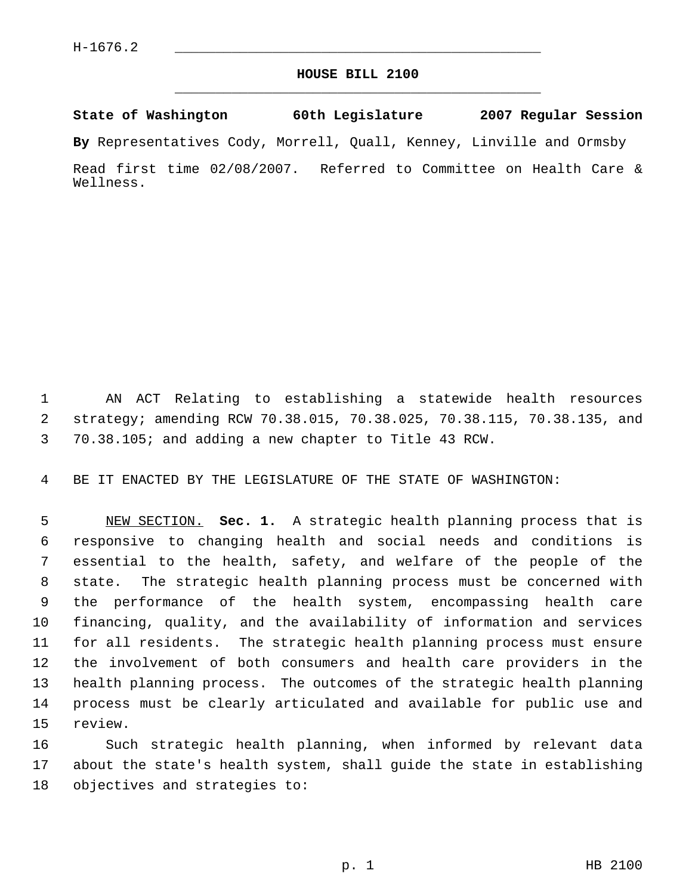## **HOUSE BILL 2100** \_\_\_\_\_\_\_\_\_\_\_\_\_\_\_\_\_\_\_\_\_\_\_\_\_\_\_\_\_\_\_\_\_\_\_\_\_\_\_\_\_\_\_\_\_

**State of Washington 60th Legislature 2007 Regular Session**

**By** Representatives Cody, Morrell, Quall, Kenney, Linville and Ormsby

Read first time 02/08/2007. Referred to Committee on Health Care & Wellness.

 AN ACT Relating to establishing a statewide health resources strategy; amending RCW 70.38.015, 70.38.025, 70.38.115, 70.38.135, and 70.38.105; and adding a new chapter to Title 43 RCW.

BE IT ENACTED BY THE LEGISLATURE OF THE STATE OF WASHINGTON:

 NEW SECTION. **Sec. 1.** A strategic health planning process that is responsive to changing health and social needs and conditions is essential to the health, safety, and welfare of the people of the state. The strategic health planning process must be concerned with the performance of the health system, encompassing health care financing, quality, and the availability of information and services for all residents. The strategic health planning process must ensure the involvement of both consumers and health care providers in the health planning process. The outcomes of the strategic health planning process must be clearly articulated and available for public use and review.

 Such strategic health planning, when informed by relevant data about the state's health system, shall guide the state in establishing objectives and strategies to: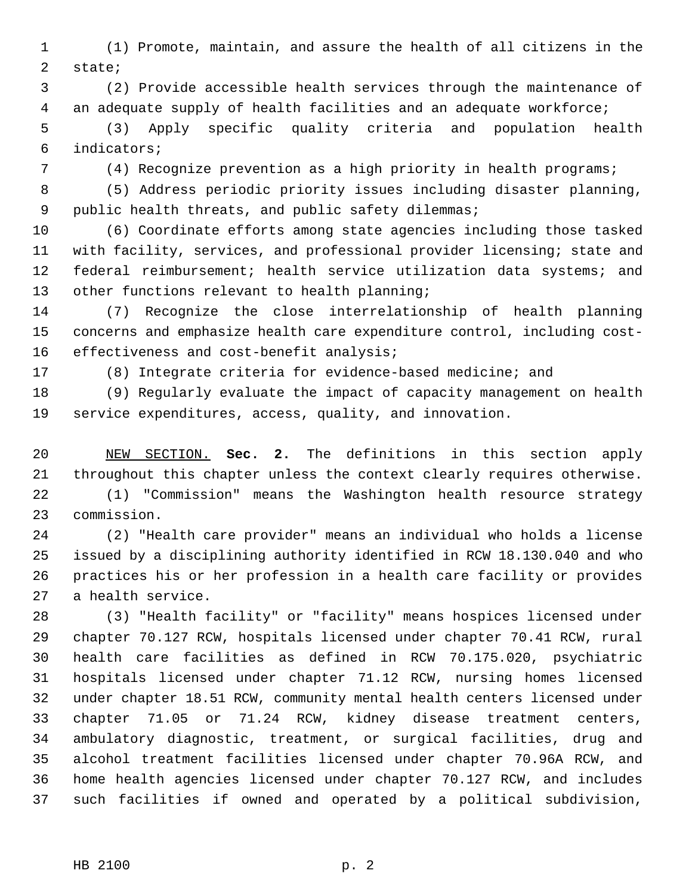(1) Promote, maintain, and assure the health of all citizens in the state;

 (2) Provide accessible health services through the maintenance of an adequate supply of health facilities and an adequate workforce;

 (3) Apply specific quality criteria and population health indicators;

(4) Recognize prevention as a high priority in health programs;

 (5) Address periodic priority issues including disaster planning, public health threats, and public safety dilemmas;

 (6) Coordinate efforts among state agencies including those tasked with facility, services, and professional provider licensing; state and federal reimbursement; health service utilization data systems; and other functions relevant to health planning;

 (7) Recognize the close interrelationship of health planning concerns and emphasize health care expenditure control, including cost-16 effectiveness and cost-benefit analysis;

(8) Integrate criteria for evidence-based medicine; and

 (9) Regularly evaluate the impact of capacity management on health service expenditures, access, quality, and innovation.

 NEW SECTION. **Sec. 2.** The definitions in this section apply throughout this chapter unless the context clearly requires otherwise.

 (1) "Commission" means the Washington health resource strategy commission.

 (2) "Health care provider" means an individual who holds a license issued by a disciplining authority identified in RCW 18.130.040 and who practices his or her profession in a health care facility or provides a health service.

 (3) "Health facility" or "facility" means hospices licensed under chapter 70.127 RCW, hospitals licensed under chapter 70.41 RCW, rural health care facilities as defined in RCW 70.175.020, psychiatric hospitals licensed under chapter 71.12 RCW, nursing homes licensed under chapter 18.51 RCW, community mental health centers licensed under chapter 71.05 or 71.24 RCW, kidney disease treatment centers, ambulatory diagnostic, treatment, or surgical facilities, drug and alcohol treatment facilities licensed under chapter 70.96A RCW, and home health agencies licensed under chapter 70.127 RCW, and includes such facilities if owned and operated by a political subdivision,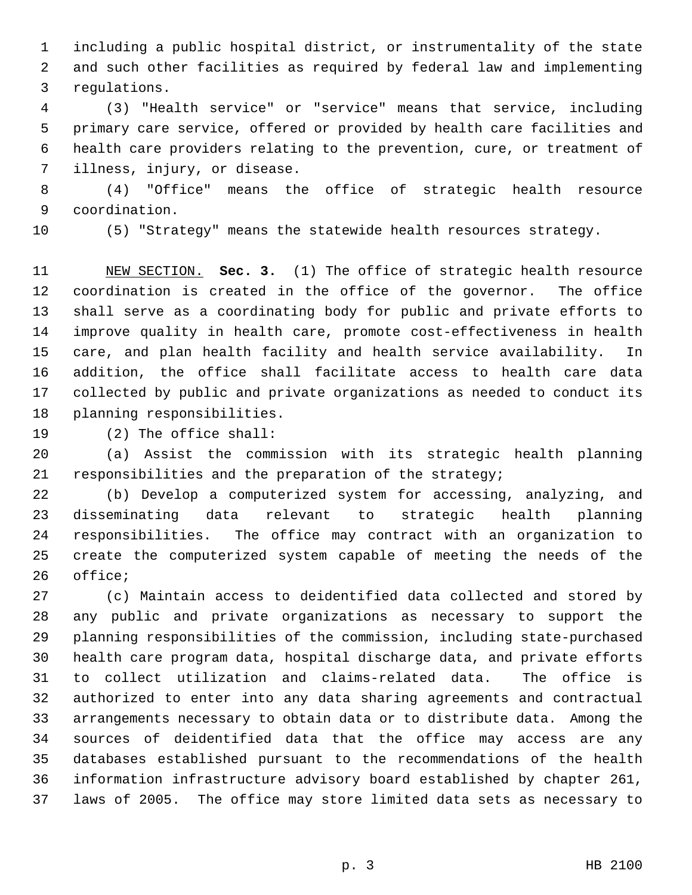including a public hospital district, or instrumentality of the state and such other facilities as required by federal law and implementing regulations.

 (3) "Health service" or "service" means that service, including primary care service, offered or provided by health care facilities and health care providers relating to the prevention, cure, or treatment of illness, injury, or disease.

 (4) "Office" means the office of strategic health resource coordination.

(5) "Strategy" means the statewide health resources strategy.

 NEW SECTION. **Sec. 3.** (1) The office of strategic health resource coordination is created in the office of the governor. The office shall serve as a coordinating body for public and private efforts to improve quality in health care, promote cost-effectiveness in health care, and plan health facility and health service availability. In addition, the office shall facilitate access to health care data collected by public and private organizations as needed to conduct its planning responsibilities.

(2) The office shall:

 (a) Assist the commission with its strategic health planning responsibilities and the preparation of the strategy;

 (b) Develop a computerized system for accessing, analyzing, and disseminating data relevant to strategic health planning responsibilities. The office may contract with an organization to create the computerized system capable of meeting the needs of the office;

 (c) Maintain access to deidentified data collected and stored by any public and private organizations as necessary to support the planning responsibilities of the commission, including state-purchased health care program data, hospital discharge data, and private efforts to collect utilization and claims-related data. The office is authorized to enter into any data sharing agreements and contractual arrangements necessary to obtain data or to distribute data. Among the sources of deidentified data that the office may access are any databases established pursuant to the recommendations of the health information infrastructure advisory board established by chapter 261, laws of 2005. The office may store limited data sets as necessary to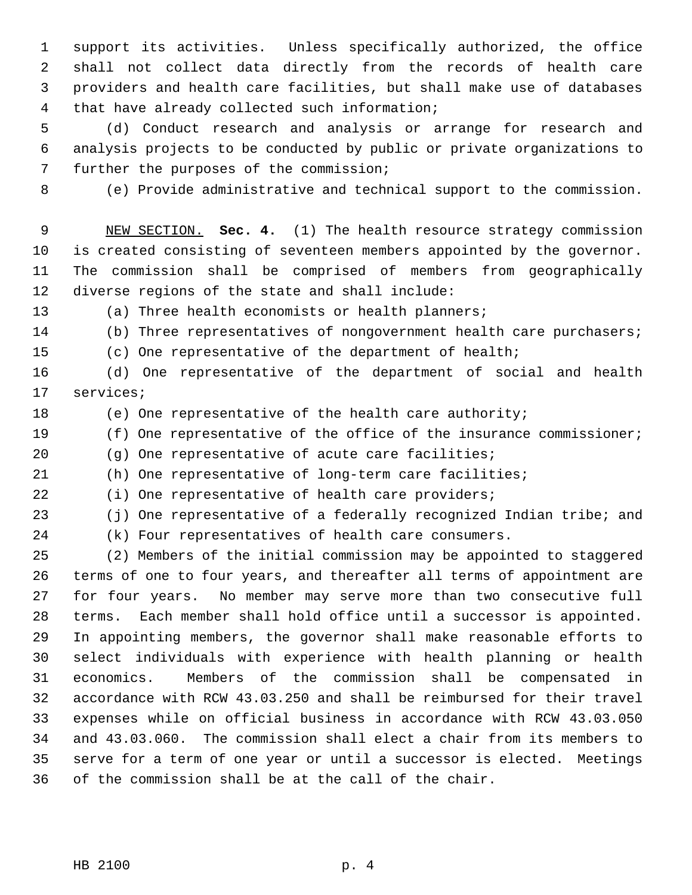support its activities. Unless specifically authorized, the office shall not collect data directly from the records of health care providers and health care facilities, but shall make use of databases that have already collected such information;

 (d) Conduct research and analysis or arrange for research and analysis projects to be conducted by public or private organizations to further the purposes of the commission;

(e) Provide administrative and technical support to the commission.

 NEW SECTION. **Sec. 4.** (1) The health resource strategy commission is created consisting of seventeen members appointed by the governor. The commission shall be comprised of members from geographically diverse regions of the state and shall include:

(a) Three health economists or health planners;

14 (b) Three representatives of nongovernment health care purchasers;

(c) One representative of the department of health;

 (d) One representative of the department of social and health services;

(e) One representative of the health care authority;

(f) One representative of the office of the insurance commissioner;

(g) One representative of acute care facilities;

(h) One representative of long-term care facilities;

(i) One representative of health care providers;

(j) One representative of a federally recognized Indian tribe; and

(k) Four representatives of health care consumers.

 (2) Members of the initial commission may be appointed to staggered terms of one to four years, and thereafter all terms of appointment are for four years. No member may serve more than two consecutive full terms. Each member shall hold office until a successor is appointed. In appointing members, the governor shall make reasonable efforts to select individuals with experience with health planning or health economics. Members of the commission shall be compensated in accordance with RCW 43.03.250 and shall be reimbursed for their travel expenses while on official business in accordance with RCW 43.03.050 and 43.03.060. The commission shall elect a chair from its members to serve for a term of one year or until a successor is elected. Meetings of the commission shall be at the call of the chair.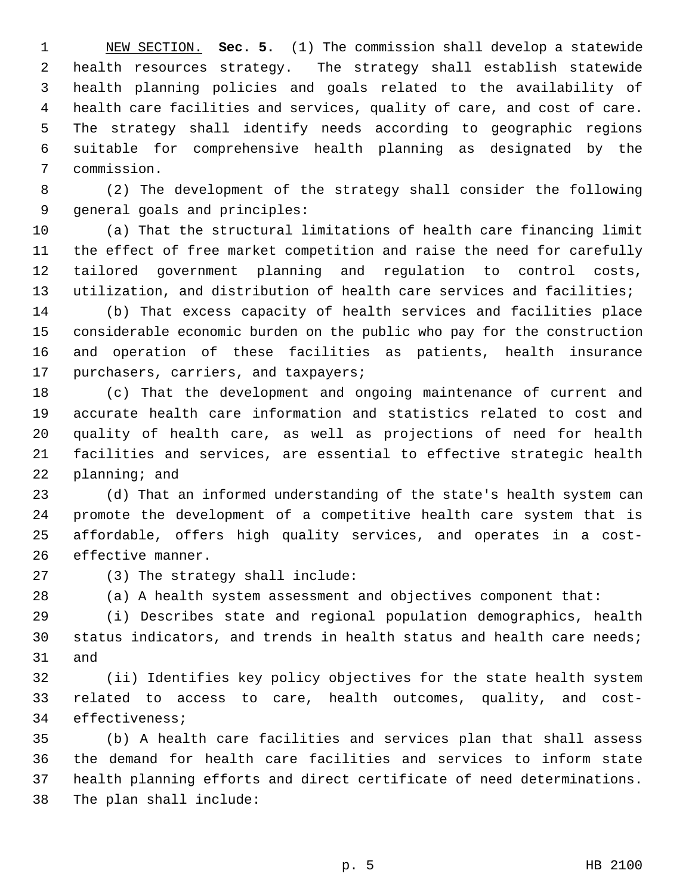NEW SECTION. **Sec. 5.** (1) The commission shall develop a statewide health resources strategy. The strategy shall establish statewide health planning policies and goals related to the availability of health care facilities and services, quality of care, and cost of care. The strategy shall identify needs according to geographic regions suitable for comprehensive health planning as designated by the commission.

 (2) The development of the strategy shall consider the following general goals and principles:

 (a) That the structural limitations of health care financing limit the effect of free market competition and raise the need for carefully tailored government planning and regulation to control costs, utilization, and distribution of health care services and facilities;

 (b) That excess capacity of health services and facilities place considerable economic burden on the public who pay for the construction and operation of these facilities as patients, health insurance purchasers, carriers, and taxpayers;

 (c) That the development and ongoing maintenance of current and accurate health care information and statistics related to cost and quality of health care, as well as projections of need for health facilities and services, are essential to effective strategic health planning; and

 (d) That an informed understanding of the state's health system can promote the development of a competitive health care system that is affordable, offers high quality services, and operates in a cost-effective manner.

(3) The strategy shall include:

(a) A health system assessment and objectives component that:

 (i) Describes state and regional population demographics, health status indicators, and trends in health status and health care needs; and

 (ii) Identifies key policy objectives for the state health system related to access to care, health outcomes, quality, and cost-effectiveness;

 (b) A health care facilities and services plan that shall assess the demand for health care facilities and services to inform state health planning efforts and direct certificate of need determinations. The plan shall include: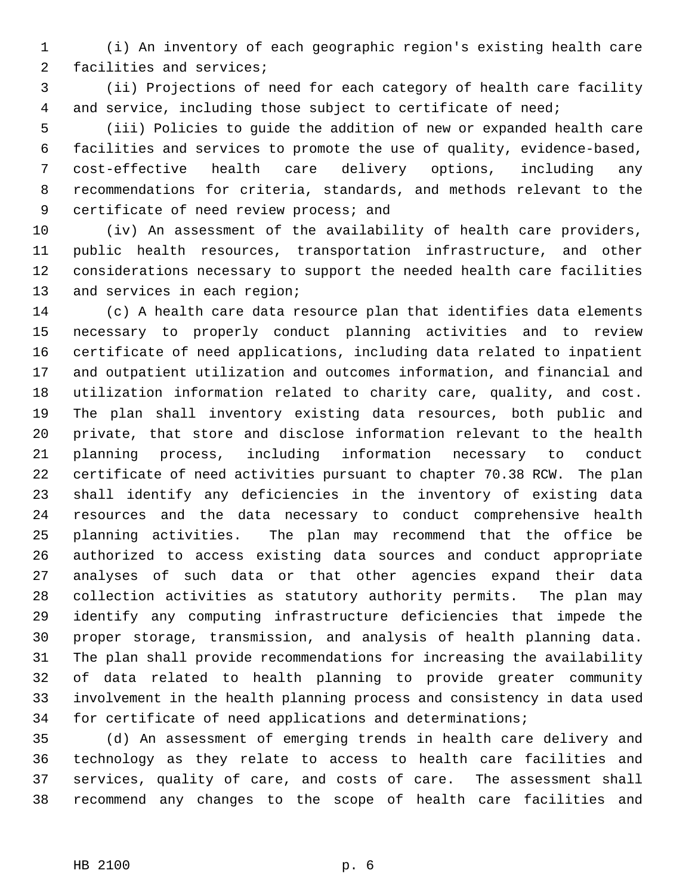(i) An inventory of each geographic region's existing health care facilities and services;

 (ii) Projections of need for each category of health care facility and service, including those subject to certificate of need;

 (iii) Policies to guide the addition of new or expanded health care facilities and services to promote the use of quality, evidence-based, cost-effective health care delivery options, including any recommendations for criteria, standards, and methods relevant to the 9 certificate of need review process; and

 (iv) An assessment of the availability of health care providers, public health resources, transportation infrastructure, and other considerations necessary to support the needed health care facilities and services in each region;

 (c) A health care data resource plan that identifies data elements necessary to properly conduct planning activities and to review certificate of need applications, including data related to inpatient and outpatient utilization and outcomes information, and financial and utilization information related to charity care, quality, and cost. The plan shall inventory existing data resources, both public and private, that store and disclose information relevant to the health planning process, including information necessary to conduct certificate of need activities pursuant to chapter 70.38 RCW. The plan shall identify any deficiencies in the inventory of existing data resources and the data necessary to conduct comprehensive health planning activities. The plan may recommend that the office be authorized to access existing data sources and conduct appropriate analyses of such data or that other agencies expand their data collection activities as statutory authority permits. The plan may identify any computing infrastructure deficiencies that impede the proper storage, transmission, and analysis of health planning data. The plan shall provide recommendations for increasing the availability of data related to health planning to provide greater community involvement in the health planning process and consistency in data used for certificate of need applications and determinations;

 (d) An assessment of emerging trends in health care delivery and technology as they relate to access to health care facilities and services, quality of care, and costs of care. The assessment shall recommend any changes to the scope of health care facilities and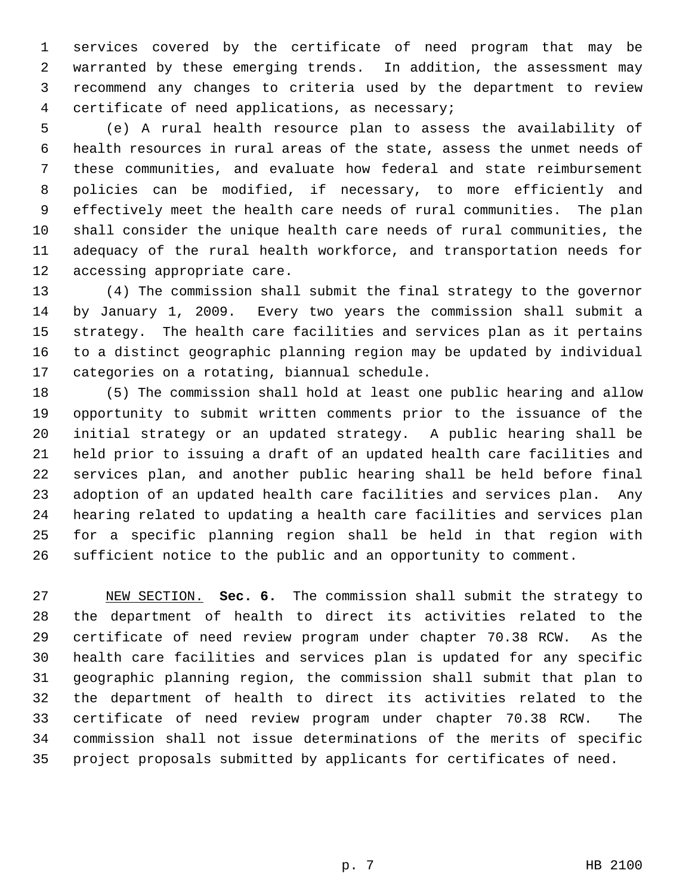services covered by the certificate of need program that may be warranted by these emerging trends. In addition, the assessment may recommend any changes to criteria used by the department to review certificate of need applications, as necessary;

 (e) A rural health resource plan to assess the availability of health resources in rural areas of the state, assess the unmet needs of these communities, and evaluate how federal and state reimbursement policies can be modified, if necessary, to more efficiently and effectively meet the health care needs of rural communities. The plan shall consider the unique health care needs of rural communities, the adequacy of the rural health workforce, and transportation needs for accessing appropriate care.

 (4) The commission shall submit the final strategy to the governor by January 1, 2009. Every two years the commission shall submit a strategy. The health care facilities and services plan as it pertains to a distinct geographic planning region may be updated by individual categories on a rotating, biannual schedule.

 (5) The commission shall hold at least one public hearing and allow opportunity to submit written comments prior to the issuance of the initial strategy or an updated strategy. A public hearing shall be held prior to issuing a draft of an updated health care facilities and services plan, and another public hearing shall be held before final adoption of an updated health care facilities and services plan. Any hearing related to updating a health care facilities and services plan for a specific planning region shall be held in that region with sufficient notice to the public and an opportunity to comment.

 NEW SECTION. **Sec. 6.** The commission shall submit the strategy to the department of health to direct its activities related to the certificate of need review program under chapter 70.38 RCW. As the health care facilities and services plan is updated for any specific geographic planning region, the commission shall submit that plan to the department of health to direct its activities related to the certificate of need review program under chapter 70.38 RCW. The commission shall not issue determinations of the merits of specific project proposals submitted by applicants for certificates of need.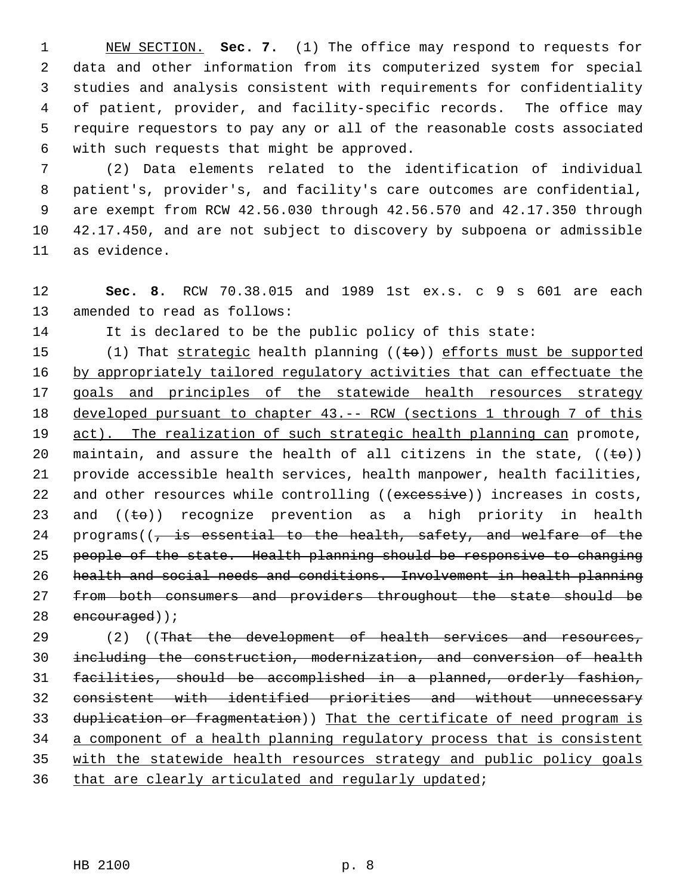NEW SECTION. **Sec. 7.** (1) The office may respond to requests for data and other information from its computerized system for special studies and analysis consistent with requirements for confidentiality of patient, provider, and facility-specific records. The office may require requestors to pay any or all of the reasonable costs associated with such requests that might be approved.

 (2) Data elements related to the identification of individual patient's, provider's, and facility's care outcomes are confidential, are exempt from RCW 42.56.030 through 42.56.570 and 42.17.350 through 42.17.450, and are not subject to discovery by subpoena or admissible as evidence.

 **Sec. 8.** RCW 70.38.015 and 1989 1st ex.s. c 9 s 601 are each amended to read as follows:

It is declared to be the public policy of this state:

15 (1) That strategic health planning  $((\text{te}))$  efforts must be supported 16 by appropriately tailored regulatory activities that can effectuate the 17 goals and principles of the statewide health resources strategy developed pursuant to chapter 43.-- RCW (sections 1 through 7 of this 19 act). The realization of such strategic health planning can promote, 20 maintain, and assure the health of all citizens in the state,  $((\pm \theta))$  provide accessible health services, health manpower, health facilities, 22 and other resources while controlling ((excessive)) increases in costs, 23 and  $((\pm \theta))$  recognize prevention as a high priority in health 24 programs( $\sqrt{7}$  is essential to the health, safety, and welfare of the people of the state. Health planning should be responsive to changing health and social needs and conditions. Involvement in health planning from both consumers and providers throughout the state should be 28 encouraged));

29 (2) ((That the development of health services and resources, including the construction, modernization, and conversion of health facilities, should be accomplished in a planned, orderly fashion, consistent with identified priorities and without unnecessary 33 duplication or fragmentation)) That the certificate of need program is a component of a health planning regulatory process that is consistent with the statewide health resources strategy and public policy goals 36 that are clearly articulated and regularly updated;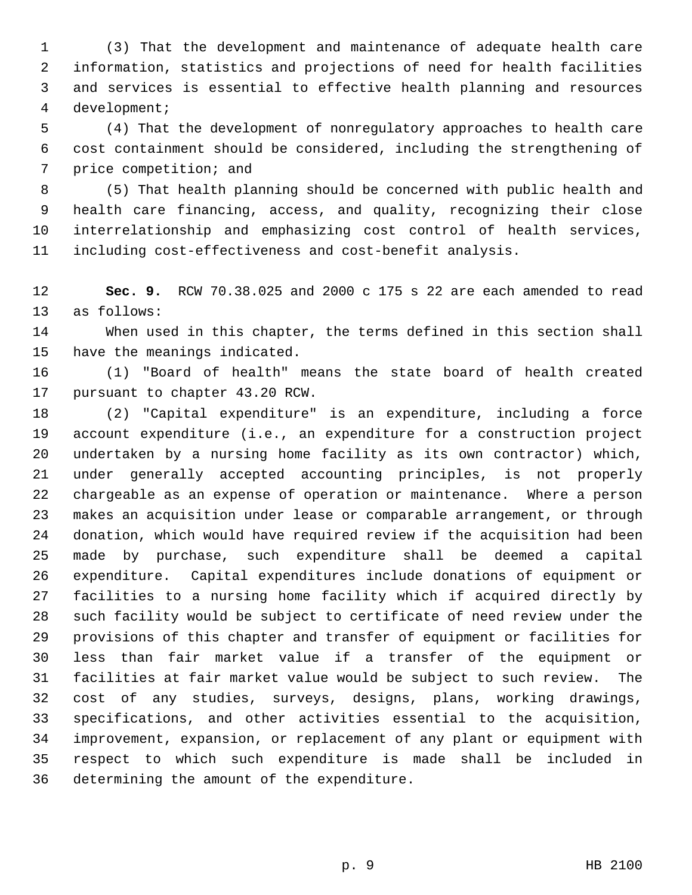(3) That the development and maintenance of adequate health care information, statistics and projections of need for health facilities and services is essential to effective health planning and resources development;

 (4) That the development of nonregulatory approaches to health care cost containment should be considered, including the strengthening of price competition; and

 (5) That health planning should be concerned with public health and health care financing, access, and quality, recognizing their close interrelationship and emphasizing cost control of health services, including cost-effectiveness and cost-benefit analysis.

 **Sec. 9.** RCW 70.38.025 and 2000 c 175 s 22 are each amended to read as follows:

 When used in this chapter, the terms defined in this section shall have the meanings indicated.

 (1) "Board of health" means the state board of health created pursuant to chapter 43.20 RCW.

 (2) "Capital expenditure" is an expenditure, including a force account expenditure (i.e., an expenditure for a construction project undertaken by a nursing home facility as its own contractor) which, under generally accepted accounting principles, is not properly chargeable as an expense of operation or maintenance. Where a person makes an acquisition under lease or comparable arrangement, or through donation, which would have required review if the acquisition had been made by purchase, such expenditure shall be deemed a capital expenditure. Capital expenditures include donations of equipment or facilities to a nursing home facility which if acquired directly by such facility would be subject to certificate of need review under the provisions of this chapter and transfer of equipment or facilities for less than fair market value if a transfer of the equipment or facilities at fair market value would be subject to such review. The cost of any studies, surveys, designs, plans, working drawings, specifications, and other activities essential to the acquisition, improvement, expansion, or replacement of any plant or equipment with respect to which such expenditure is made shall be included in determining the amount of the expenditure.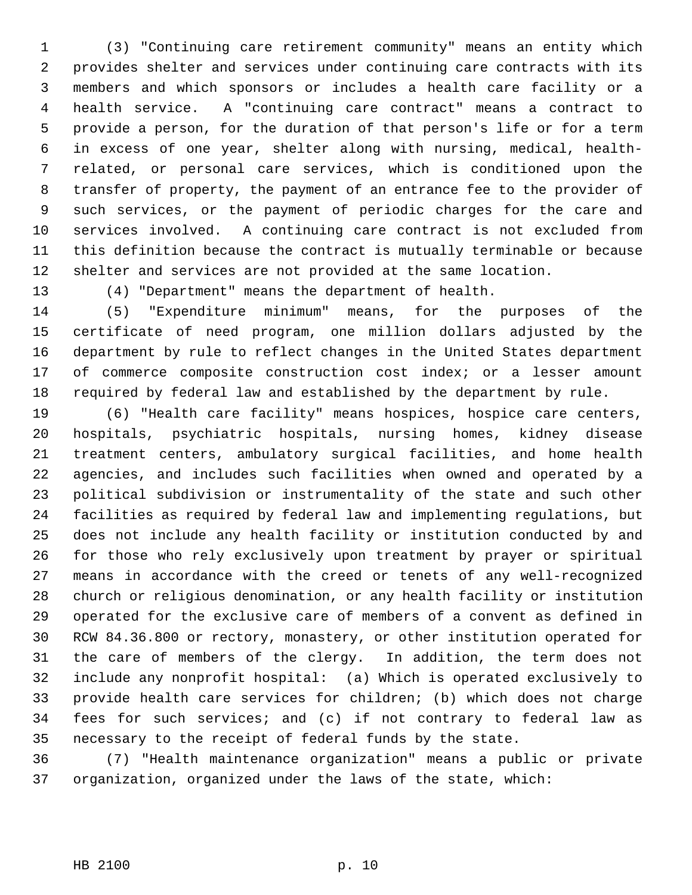(3) "Continuing care retirement community" means an entity which provides shelter and services under continuing care contracts with its members and which sponsors or includes a health care facility or a health service. A "continuing care contract" means a contract to provide a person, for the duration of that person's life or for a term in excess of one year, shelter along with nursing, medical, health- related, or personal care services, which is conditioned upon the transfer of property, the payment of an entrance fee to the provider of such services, or the payment of periodic charges for the care and services involved. A continuing care contract is not excluded from this definition because the contract is mutually terminable or because shelter and services are not provided at the same location.

(4) "Department" means the department of health.

 (5) "Expenditure minimum" means, for the purposes of the certificate of need program, one million dollars adjusted by the department by rule to reflect changes in the United States department of commerce composite construction cost index; or a lesser amount required by federal law and established by the department by rule.

 (6) "Health care facility" means hospices, hospice care centers, hospitals, psychiatric hospitals, nursing homes, kidney disease treatment centers, ambulatory surgical facilities, and home health agencies, and includes such facilities when owned and operated by a political subdivision or instrumentality of the state and such other facilities as required by federal law and implementing regulations, but does not include any health facility or institution conducted by and for those who rely exclusively upon treatment by prayer or spiritual means in accordance with the creed or tenets of any well-recognized church or religious denomination, or any health facility or institution operated for the exclusive care of members of a convent as defined in RCW 84.36.800 or rectory, monastery, or other institution operated for the care of members of the clergy. In addition, the term does not include any nonprofit hospital: (a) Which is operated exclusively to provide health care services for children; (b) which does not charge fees for such services; and (c) if not contrary to federal law as necessary to the receipt of federal funds by the state.

 (7) "Health maintenance organization" means a public or private organization, organized under the laws of the state, which: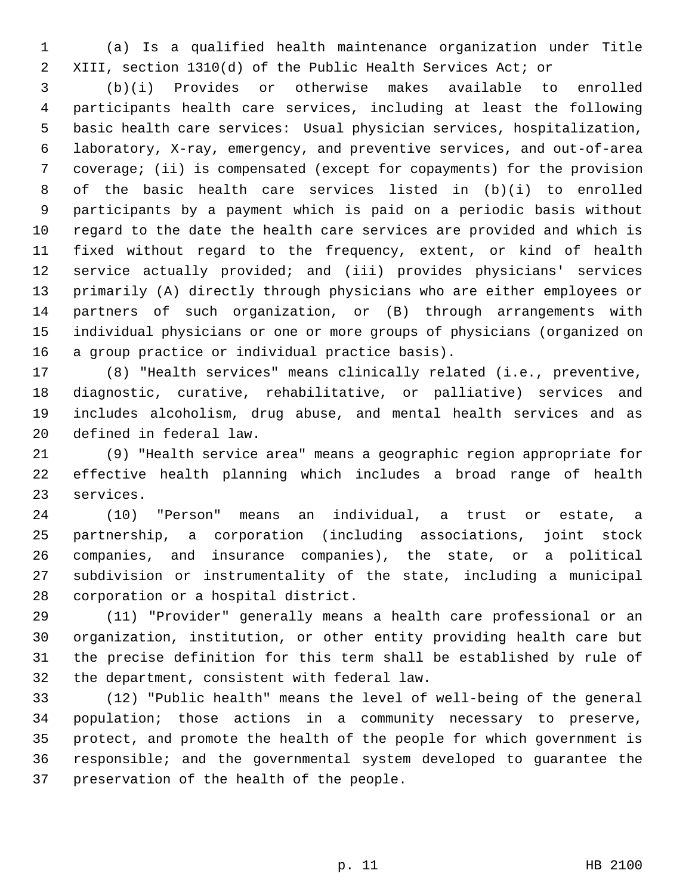(a) Is a qualified health maintenance organization under Title XIII, section 1310(d) of the Public Health Services Act; or

 (b)(i) Provides or otherwise makes available to enrolled participants health care services, including at least the following basic health care services: Usual physician services, hospitalization, laboratory, X-ray, emergency, and preventive services, and out-of-area coverage; (ii) is compensated (except for copayments) for the provision of the basic health care services listed in (b)(i) to enrolled participants by a payment which is paid on a periodic basis without regard to the date the health care services are provided and which is fixed without regard to the frequency, extent, or kind of health service actually provided; and (iii) provides physicians' services primarily (A) directly through physicians who are either employees or partners of such organization, or (B) through arrangements with individual physicians or one or more groups of physicians (organized on a group practice or individual practice basis).

 (8) "Health services" means clinically related (i.e., preventive, diagnostic, curative, rehabilitative, or palliative) services and includes alcoholism, drug abuse, and mental health services and as defined in federal law.

 (9) "Health service area" means a geographic region appropriate for effective health planning which includes a broad range of health services.

 (10) "Person" means an individual, a trust or estate, a partnership, a corporation (including associations, joint stock companies, and insurance companies), the state, or a political subdivision or instrumentality of the state, including a municipal corporation or a hospital district.

 (11) "Provider" generally means a health care professional or an organization, institution, or other entity providing health care but the precise definition for this term shall be established by rule of the department, consistent with federal law.

 (12) "Public health" means the level of well-being of the general population; those actions in a community necessary to preserve, protect, and promote the health of the people for which government is responsible; and the governmental system developed to guarantee the preservation of the health of the people.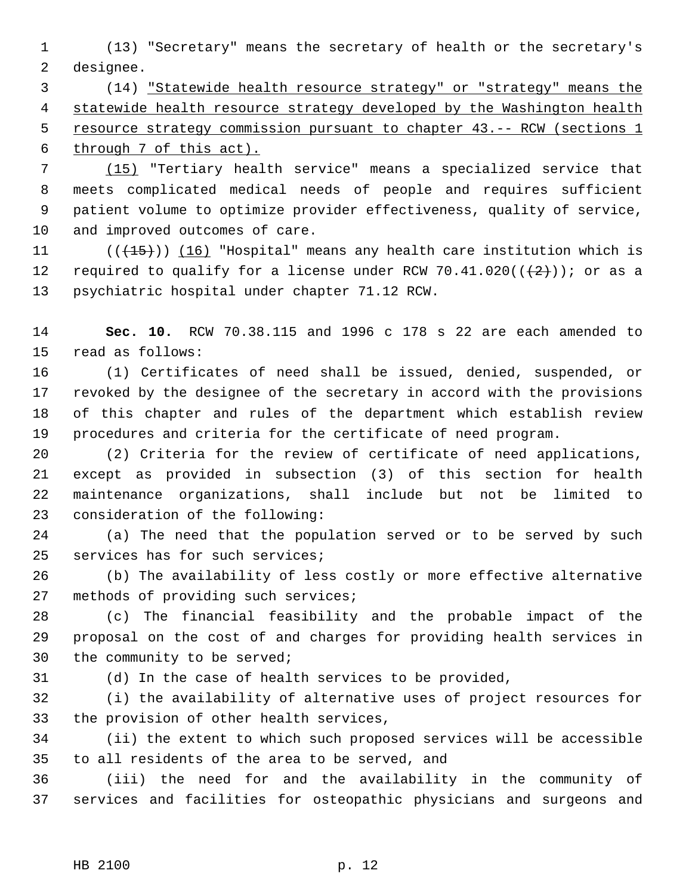(13) "Secretary" means the secretary of health or the secretary's designee.

 (14) "Statewide health resource strategy" or "strategy" means the 4 statewide health resource strategy developed by the Washington health 5 resource strategy commission pursuant to chapter 43. -- RCW (sections 1 through 7 of this act).

 (15) "Tertiary health service" means a specialized service that meets complicated medical needs of people and requires sufficient patient volume to optimize provider effectiveness, quality of service, and improved outcomes of care.

11 (( $\left(\frac{15}{15}\right)$ ) (16) "Hospital" means any health care institution which is 12 required to qualify for a license under RCW 70.41.020( $(\frac{2}{2})$ ); or as a psychiatric hospital under chapter 71.12 RCW.

 **Sec. 10.** RCW 70.38.115 and 1996 c 178 s 22 are each amended to read as follows:

 (1) Certificates of need shall be issued, denied, suspended, or revoked by the designee of the secretary in accord with the provisions of this chapter and rules of the department which establish review procedures and criteria for the certificate of need program.

 (2) Criteria for the review of certificate of need applications, except as provided in subsection (3) of this section for health maintenance organizations, shall include but not be limited to consideration of the following:

 (a) The need that the population served or to be served by such services has for such services;

 (b) The availability of less costly or more effective alternative methods of providing such services;

 (c) The financial feasibility and the probable impact of the proposal on the cost of and charges for providing health services in the community to be served;

(d) In the case of health services to be provided,

 (i) the availability of alternative uses of project resources for the provision of other health services,

 (ii) the extent to which such proposed services will be accessible to all residents of the area to be served, and

 (iii) the need for and the availability in the community of services and facilities for osteopathic physicians and surgeons and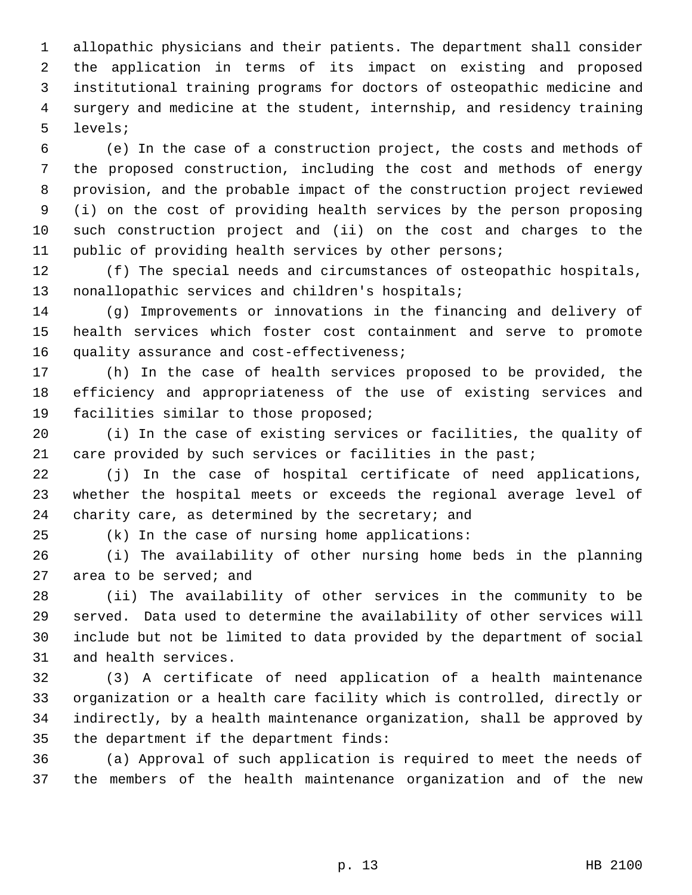allopathic physicians and their patients. The department shall consider the application in terms of its impact on existing and proposed institutional training programs for doctors of osteopathic medicine and surgery and medicine at the student, internship, and residency training levels;

 (e) In the case of a construction project, the costs and methods of the proposed construction, including the cost and methods of energy provision, and the probable impact of the construction project reviewed (i) on the cost of providing health services by the person proposing such construction project and (ii) on the cost and charges to the public of providing health services by other persons;

 (f) The special needs and circumstances of osteopathic hospitals, nonallopathic services and children's hospitals;

 (g) Improvements or innovations in the financing and delivery of health services which foster cost containment and serve to promote quality assurance and cost-effectiveness;

 (h) In the case of health services proposed to be provided, the efficiency and appropriateness of the use of existing services and facilities similar to those proposed;

 (i) In the case of existing services or facilities, the quality of 21 care provided by such services or facilities in the past;

 (j) In the case of hospital certificate of need applications, whether the hospital meets or exceeds the regional average level of 24 charity care, as determined by the secretary; and

(k) In the case of nursing home applications:

 (i) The availability of other nursing home beds in the planning area to be served; and

 (ii) The availability of other services in the community to be served. Data used to determine the availability of other services will include but not be limited to data provided by the department of social and health services.

 (3) A certificate of need application of a health maintenance organization or a health care facility which is controlled, directly or indirectly, by a health maintenance organization, shall be approved by the department if the department finds:

 (a) Approval of such application is required to meet the needs of the members of the health maintenance organization and of the new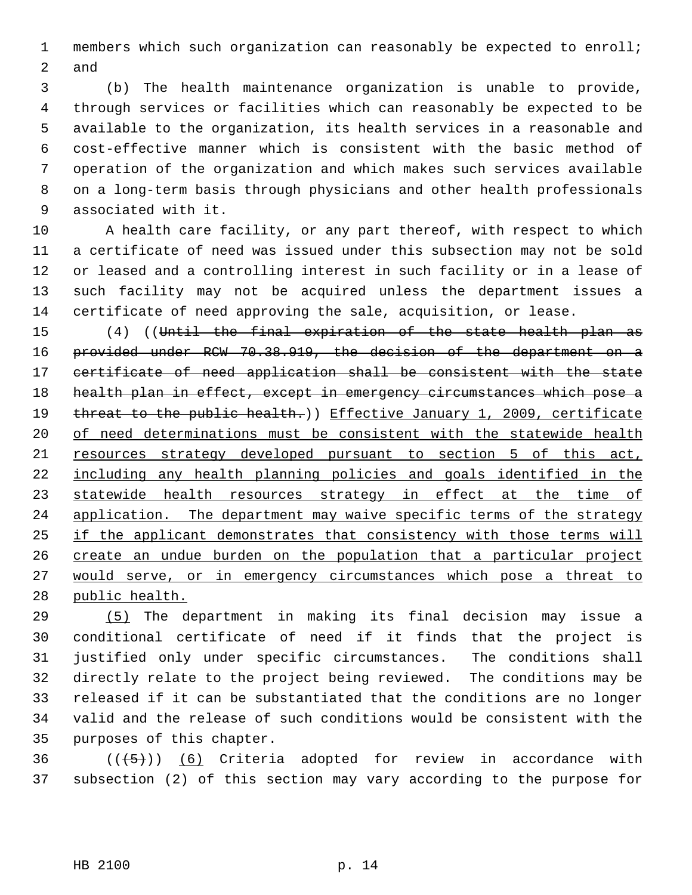members which such organization can reasonably be expected to enroll; and

 (b) The health maintenance organization is unable to provide, through services or facilities which can reasonably be expected to be available to the organization, its health services in a reasonable and cost-effective manner which is consistent with the basic method of operation of the organization and which makes such services available on a long-term basis through physicians and other health professionals associated with it.

 A health care facility, or any part thereof, with respect to which a certificate of need was issued under this subsection may not be sold or leased and a controlling interest in such facility or in a lease of such facility may not be acquired unless the department issues a certificate of need approving the sale, acquisition, or lease.

 (4) ((Until the final expiration of the state health plan as provided under RCW 70.38.919, the decision of the department on a certificate of need application shall be consistent with the state health plan in effect, except in emergency circumstances which pose a 19 threat to the public health.)) Effective January 1, 2009, certificate 20 of need determinations must be consistent with the statewide health resources strategy developed pursuant to section 5 of this act, including any health planning policies and goals identified in the 23 statewide health resources strategy in effect at the time of 24 application. The department may waive specific terms of the strategy if the applicant demonstrates that consistency with those terms will 26 create an undue burden on the population that a particular project would serve, or in emergency circumstances which pose a threat to public health.

 (5) The department in making its final decision may issue a conditional certificate of need if it finds that the project is justified only under specific circumstances. The conditions shall directly relate to the project being reviewed. The conditions may be released if it can be substantiated that the conditions are no longer valid and the release of such conditions would be consistent with the purposes of this chapter.

36  $((\langle 5 \rangle))$  (6) Criteria adopted for review in accordance with subsection (2) of this section may vary according to the purpose for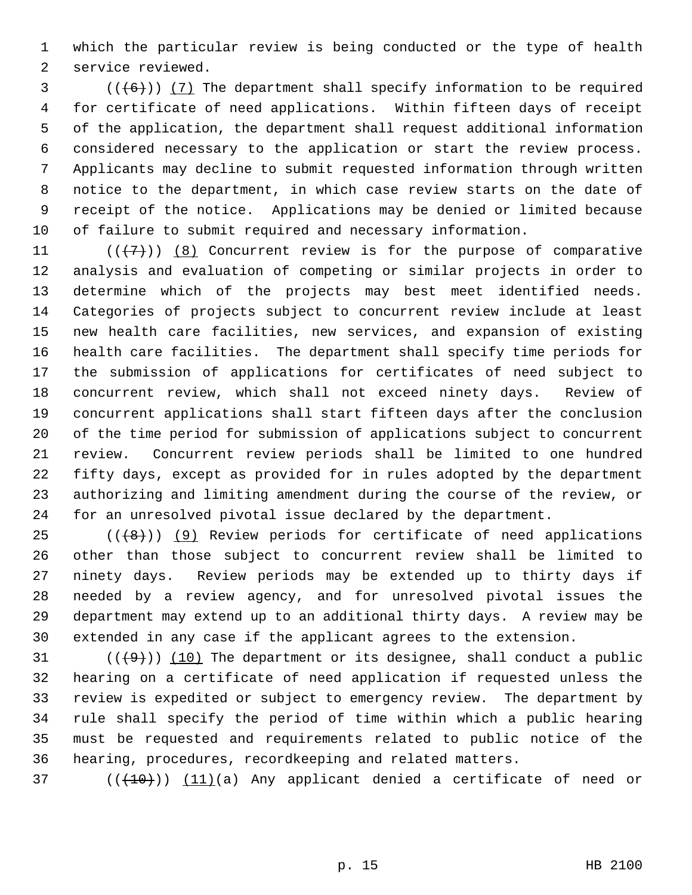which the particular review is being conducted or the type of health service reviewed.

 (( $(6)$ )) (7) The department shall specify information to be required for certificate of need applications. Within fifteen days of receipt of the application, the department shall request additional information considered necessary to the application or start the review process. Applicants may decline to submit requested information through written notice to the department, in which case review starts on the date of receipt of the notice. Applications may be denied or limited because of failure to submit required and necessary information.

 $((+7)^{n})$  (8) Concurrent review is for the purpose of comparative analysis and evaluation of competing or similar projects in order to determine which of the projects may best meet identified needs. Categories of projects subject to concurrent review include at least new health care facilities, new services, and expansion of existing health care facilities. The department shall specify time periods for the submission of applications for certificates of need subject to concurrent review, which shall not exceed ninety days. Review of concurrent applications shall start fifteen days after the conclusion of the time period for submission of applications subject to concurrent review. Concurrent review periods shall be limited to one hundred fifty days, except as provided for in rules adopted by the department authorizing and limiting amendment during the course of the review, or for an unresolved pivotal issue declared by the department.

 (( $(8)$ )) (9) Review periods for certificate of need applications other than those subject to concurrent review shall be limited to ninety days. Review periods may be extended up to thirty days if needed by a review agency, and for unresolved pivotal issues the department may extend up to an additional thirty days. A review may be extended in any case if the applicant agrees to the extension.

 $((+9))$  (10) The department or its designee, shall conduct a public hearing on a certificate of need application if requested unless the review is expedited or subject to emergency review. The department by rule shall specify the period of time within which a public hearing must be requested and requirements related to public notice of the hearing, procedures, recordkeeping and related matters.

(( $(10)$ )) (11)(a) Any applicant denied a certificate of need or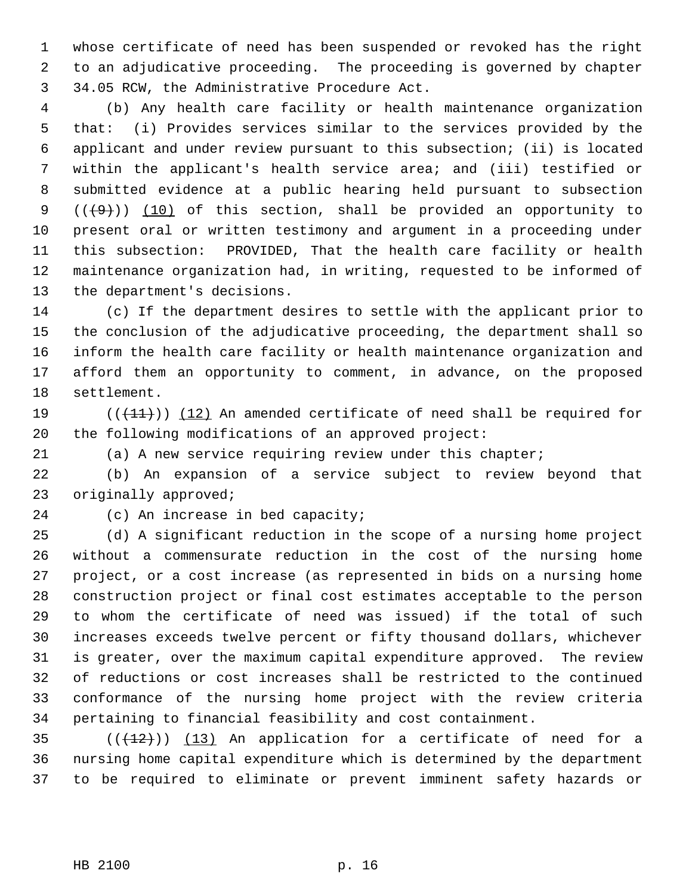whose certificate of need has been suspended or revoked has the right to an adjudicative proceeding. The proceeding is governed by chapter 34.05 RCW, the Administrative Procedure Act.

 (b) Any health care facility or health maintenance organization that: (i) Provides services similar to the services provided by the applicant and under review pursuant to this subsection; (ii) is located within the applicant's health service area; and (iii) testified or submitted evidence at a public hearing held pursuant to subsection  $((+9))$   $(10)$  of this section, shall be provided an opportunity to present oral or written testimony and argument in a proceeding under this subsection: PROVIDED, That the health care facility or health maintenance organization had, in writing, requested to be informed of the department's decisions.

 (c) If the department desires to settle with the applicant prior to the conclusion of the adjudicative proceeding, the department shall so inform the health care facility or health maintenance organization and afford them an opportunity to comment, in advance, on the proposed settlement.

19  $((+11))$   $(12)$  An amended certificate of need shall be required for the following modifications of an approved project:

(a) A new service requiring review under this chapter;

 (b) An expansion of a service subject to review beyond that originally approved;

(c) An increase in bed capacity;

 (d) A significant reduction in the scope of a nursing home project without a commensurate reduction in the cost of the nursing home project, or a cost increase (as represented in bids on a nursing home construction project or final cost estimates acceptable to the person to whom the certificate of need was issued) if the total of such increases exceeds twelve percent or fifty thousand dollars, whichever is greater, over the maximum capital expenditure approved. The review of reductions or cost increases shall be restricted to the continued conformance of the nursing home project with the review criteria pertaining to financial feasibility and cost containment.

35  $((+12))$   $(13)$  An application for a certificate of need for a nursing home capital expenditure which is determined by the department to be required to eliminate or prevent imminent safety hazards or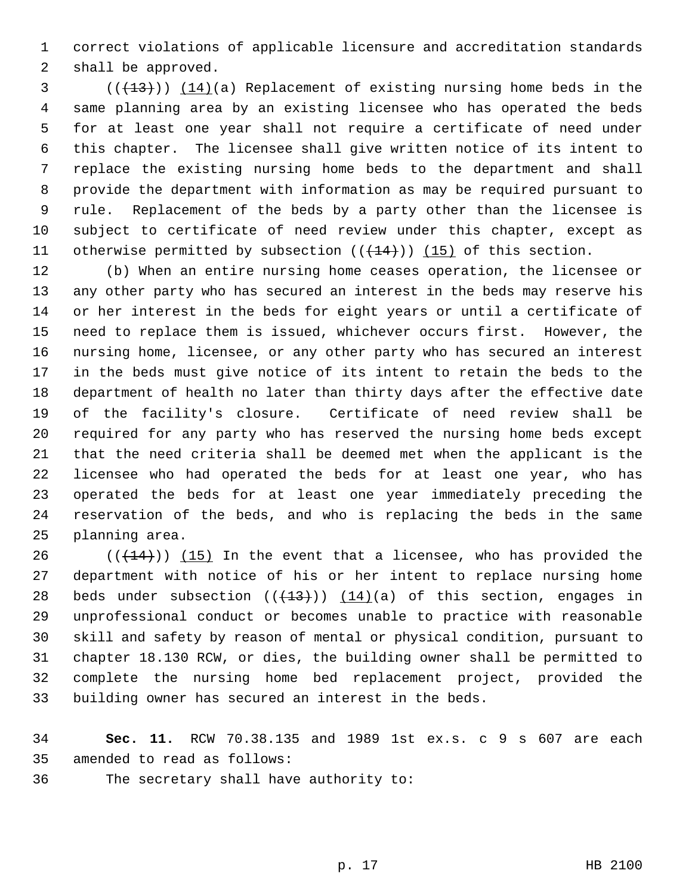correct violations of applicable licensure and accreditation standards shall be approved.

 $(1,13)$  (( $(1,13)$ )) ( $(1,4)$ )(a) Replacement of existing nursing home beds in the same planning area by an existing licensee who has operated the beds for at least one year shall not require a certificate of need under this chapter. The licensee shall give written notice of its intent to replace the existing nursing home beds to the department and shall provide the department with information as may be required pursuant to rule. Replacement of the beds by a party other than the licensee is subject to certificate of need review under this chapter, except as 11 otherwise permitted by subsection  $((+14))$   $(15)$  of this section.

 (b) When an entire nursing home ceases operation, the licensee or any other party who has secured an interest in the beds may reserve his or her interest in the beds for eight years or until a certificate of need to replace them is issued, whichever occurs first. However, the nursing home, licensee, or any other party who has secured an interest in the beds must give notice of its intent to retain the beds to the department of health no later than thirty days after the effective date of the facility's closure. Certificate of need review shall be required for any party who has reserved the nursing home beds except that the need criteria shall be deemed met when the applicant is the licensee who had operated the beds for at least one year, who has operated the beds for at least one year immediately preceding the reservation of the beds, and who is replacing the beds in the same planning area.

 $((+14))$   $(15)$  In the event that a licensee, who has provided the department with notice of his or her intent to replace nursing home 28 beds under subsection  $((+13))$   $(14)(a)$  of this section, engages in unprofessional conduct or becomes unable to practice with reasonable skill and safety by reason of mental or physical condition, pursuant to chapter 18.130 RCW, or dies, the building owner shall be permitted to complete the nursing home bed replacement project, provided the building owner has secured an interest in the beds.

 **Sec. 11.** RCW 70.38.135 and 1989 1st ex.s. c 9 s 607 are each amended to read as follows:

The secretary shall have authority to: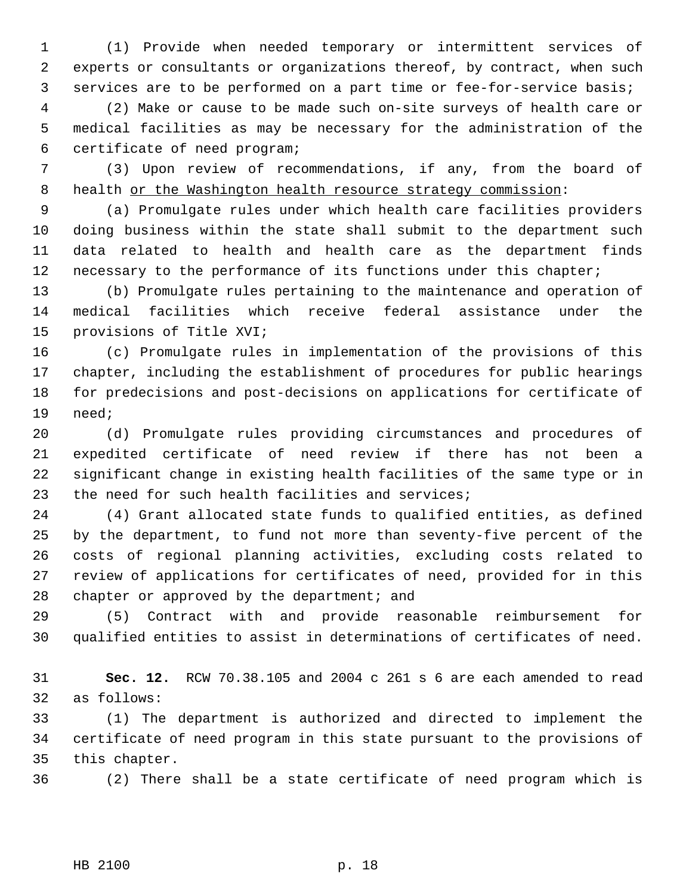(1) Provide when needed temporary or intermittent services of experts or consultants or organizations thereof, by contract, when such services are to be performed on a part time or fee-for-service basis;

 (2) Make or cause to be made such on-site surveys of health care or medical facilities as may be necessary for the administration of the certificate of need program;

 (3) Upon review of recommendations, if any, from the board of 8 health or the Washington health resource strategy commission:

 (a) Promulgate rules under which health care facilities providers doing business within the state shall submit to the department such data related to health and health care as the department finds necessary to the performance of its functions under this chapter;

 (b) Promulgate rules pertaining to the maintenance and operation of medical facilities which receive federal assistance under the provisions of Title XVI;

 (c) Promulgate rules in implementation of the provisions of this chapter, including the establishment of procedures for public hearings for predecisions and post-decisions on applications for certificate of need;

 (d) Promulgate rules providing circumstances and procedures of expedited certificate of need review if there has not been a significant change in existing health facilities of the same type or in the need for such health facilities and services;

 (4) Grant allocated state funds to qualified entities, as defined by the department, to fund not more than seventy-five percent of the costs of regional planning activities, excluding costs related to review of applications for certificates of need, provided for in this chapter or approved by the department; and

 (5) Contract with and provide reasonable reimbursement for qualified entities to assist in determinations of certificates of need.

 **Sec. 12.** RCW 70.38.105 and 2004 c 261 s 6 are each amended to read as follows:

 (1) The department is authorized and directed to implement the certificate of need program in this state pursuant to the provisions of this chapter.

(2) There shall be a state certificate of need program which is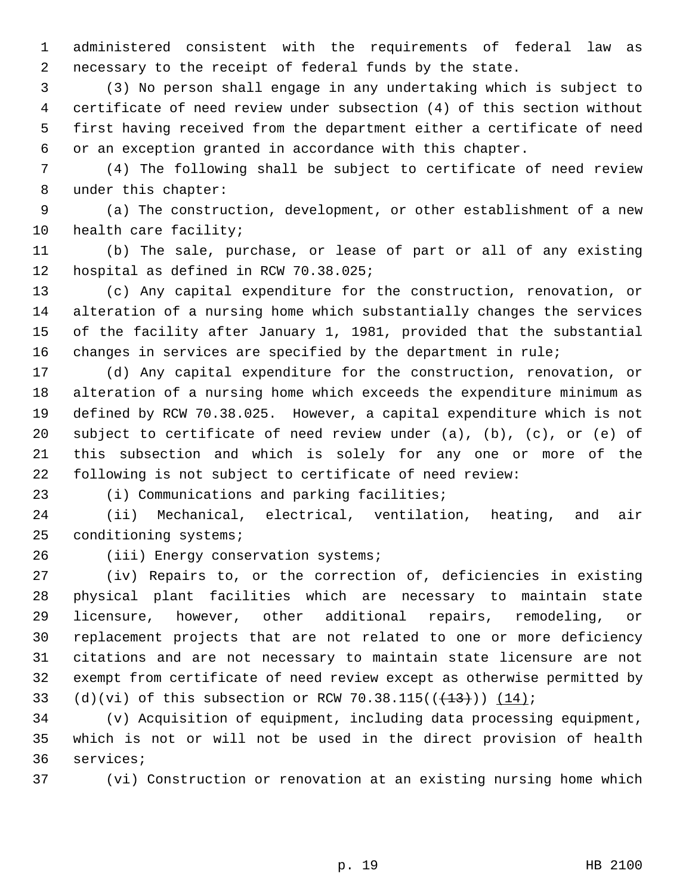administered consistent with the requirements of federal law as necessary to the receipt of federal funds by the state.

 (3) No person shall engage in any undertaking which is subject to certificate of need review under subsection (4) of this section without first having received from the department either a certificate of need or an exception granted in accordance with this chapter.

 (4) The following shall be subject to certificate of need review under this chapter:

 (a) The construction, development, or other establishment of a new health care facility;

 (b) The sale, purchase, or lease of part or all of any existing hospital as defined in RCW 70.38.025;

 (c) Any capital expenditure for the construction, renovation, or alteration of a nursing home which substantially changes the services of the facility after January 1, 1981, provided that the substantial changes in services are specified by the department in rule;

 (d) Any capital expenditure for the construction, renovation, or alteration of a nursing home which exceeds the expenditure minimum as defined by RCW 70.38.025. However, a capital expenditure which is not 20 subject to certificate of need review under  $(a)$ ,  $(b)$ ,  $(c)$ , or  $(e)$  of this subsection and which is solely for any one or more of the following is not subject to certificate of need review:

(i) Communications and parking facilities;

 (ii) Mechanical, electrical, ventilation, heating, and air conditioning systems;

(iii) Energy conservation systems;

 (iv) Repairs to, or the correction of, deficiencies in existing physical plant facilities which are necessary to maintain state licensure, however, other additional repairs, remodeling, or replacement projects that are not related to one or more deficiency citations and are not necessary to maintain state licensure are not exempt from certificate of need review except as otherwise permitted by 33 (d)(vi) of this subsection or RCW 70.38.115( $(\frac{13}{13})$ )  $(14)$ ;

 (v) Acquisition of equipment, including data processing equipment, which is not or will not be used in the direct provision of health services;

(vi) Construction or renovation at an existing nursing home which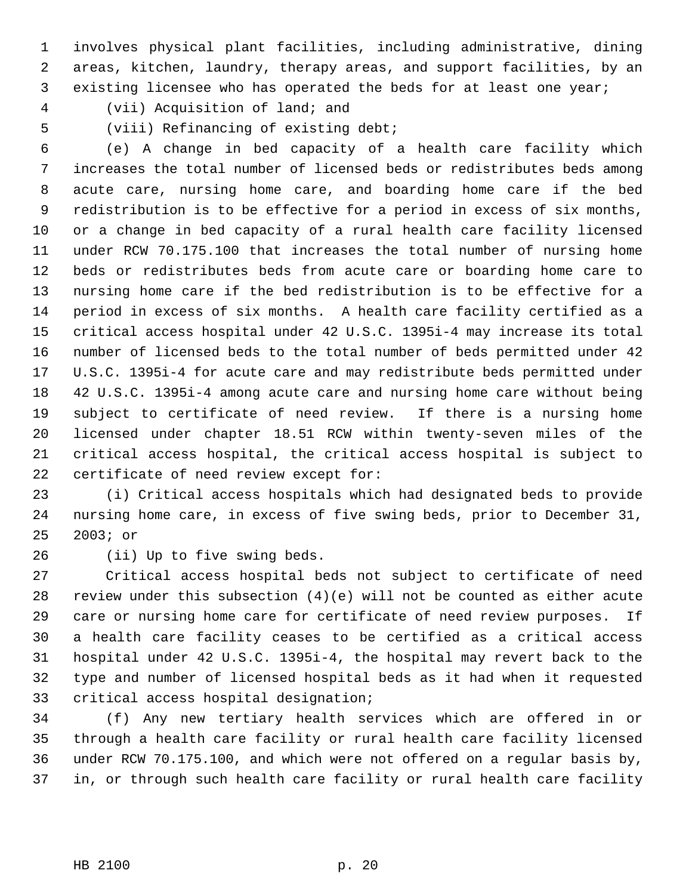involves physical plant facilities, including administrative, dining areas, kitchen, laundry, therapy areas, and support facilities, by an existing licensee who has operated the beds for at least one year;

(vii) Acquisition of land; and

(viii) Refinancing of existing debt;

 (e) A change in bed capacity of a health care facility which increases the total number of licensed beds or redistributes beds among acute care, nursing home care, and boarding home care if the bed redistribution is to be effective for a period in excess of six months, or a change in bed capacity of a rural health care facility licensed under RCW 70.175.100 that increases the total number of nursing home beds or redistributes beds from acute care or boarding home care to nursing home care if the bed redistribution is to be effective for a period in excess of six months. A health care facility certified as a critical access hospital under 42 U.S.C. 1395i-4 may increase its total number of licensed beds to the total number of beds permitted under 42 U.S.C. 1395i-4 for acute care and may redistribute beds permitted under 42 U.S.C. 1395i-4 among acute care and nursing home care without being subject to certificate of need review. If there is a nursing home licensed under chapter 18.51 RCW within twenty-seven miles of the critical access hospital, the critical access hospital is subject to certificate of need review except for:

 (i) Critical access hospitals which had designated beds to provide nursing home care, in excess of five swing beds, prior to December 31, 2003; or

(ii) Up to five swing beds.

 Critical access hospital beds not subject to certificate of need review under this subsection (4)(e) will not be counted as either acute care or nursing home care for certificate of need review purposes. If a health care facility ceases to be certified as a critical access hospital under 42 U.S.C. 1395i-4, the hospital may revert back to the type and number of licensed hospital beds as it had when it requested critical access hospital designation;

 (f) Any new tertiary health services which are offered in or through a health care facility or rural health care facility licensed under RCW 70.175.100, and which were not offered on a regular basis by, in, or through such health care facility or rural health care facility